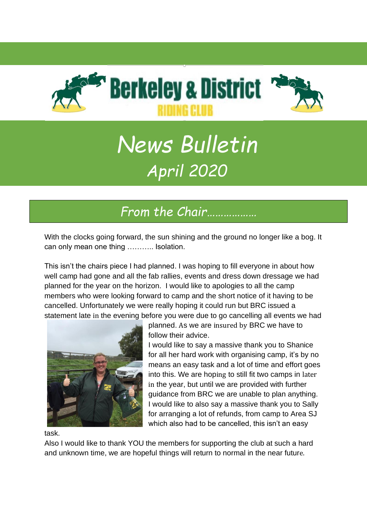

# *News Bulletin April 2020*

## *From the Chair………………*

With the clocks going forward, the sun shining and the ground no longer like a bog. It can only mean one thing ……….. Isolation.

This isn't the chairs piece I had planned. I was hoping to fill everyone in about how well camp had gone and all the fab rallies, events and dress down dressage we had planned for the year on the horizon. I would like to apologies to all the camp members who were looking forward to camp and the short notice of it having to be cancelled. Unfortunately we were really hoping it could run but BRC issued a statement late in the evening before you were due to go cancelling all events we had



planned. As we are insured by BRC we have to follow their advice.

I would like to say a massive thank you to Shanice for all her hard work with organising camp, it's by no means an easy task and a lot of time and effort goes into this. We are hoping to still fit two camps in later in the year, but until we are provided with further guidance from BRC we are unable to plan anything. I would like to also say a massive thank you to Sally for arranging a lot of refunds, from camp to Area SJ which also had to be cancelled, this isn't an easy

task.

Also I would like to thank YOU the members for supporting the club at such a hard and unknown time, we are hopeful things will return to normal in the near future.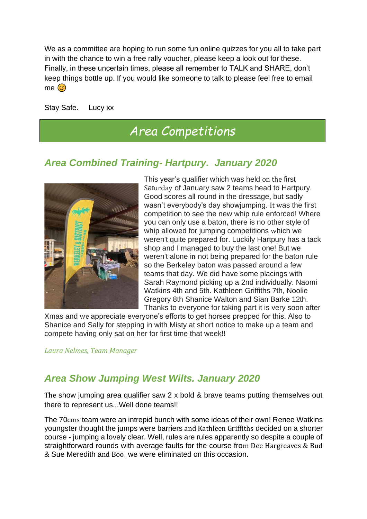We as a committee are hoping to run some fun online quizzes for you all to take part in with the chance to win a free rally voucher, please keep a look out for these. Finally, in these uncertain times, please all remember to TALK and SHARE, don't keep things bottle up. If you would like someone to talk to please feel free to email  $me$ 

Stay Safe. Lucy xx

### *Area Competitions*

#### *Area Combined Training- Hartpury. January 2020*



This year's qualifier which was held on the first Saturday of January saw 2 teams head to Hartpury. Good scores all round in the dressage, but sadly wasn't everybody's day showjumping. It was the first competition to see the new whip rule enforced! Where you can only use a baton, there is no other style of whip allowed for jumping competitions which we weren't quite prepared for. Luckily Hartpury has a tack shop and I managed to buy the last one! But we weren't alone in not being prepared for the baton rule so the Berkeley baton was passed around a few teams that day. We did have some placings with Sarah Raymond picking up a 2nd individually. Naomi Watkins 4th and 5th. Kathleen Griffiths 7th, Noolie Gregory 8th Shanice Walton and Sian Barke 12th. Thanks to everyone for taking part it is very soon after

Xmas and we appreciate everyone's efforts to get horses prepped for this. Also to Shanice and Sally for stepping in with Misty at short notice to make up a team and compete having only sat on her for first time that week!!

*Laura Nelmes, Team Manager*

#### *Area Show Jumping West Wilts. January 2020*

The show jumping area qualifier saw 2 x bold & brave teams putting themselves out there to represent us...Well done teams!!

The 70cms team were an intrepid bunch with some ideas of their own! Renee Watkins youngster thought the jumps were barriers and Kathleen Griffiths decided on a shorter course - jumping a lovely clear. Well, rules are rules apparently so despite a couple of straightforward rounds with average faults for the course from Dee Hargreaves & Bud & Sue Meredith and Boo, we were eliminated on this occasion.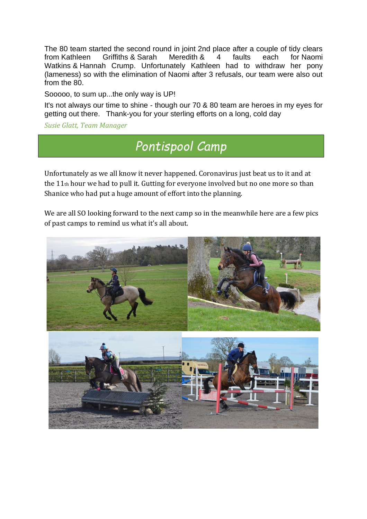The 80 team started the second round in joint 2nd place after a couple of tidy clears from [Kathleen Griffiths](https://www.facebook.com/kathleen.griffiths.5623?fref=gs&__tn__=%2CdK-R-R&eid=ARD6MzEwBc2bTUc-pmxLxNIViRytzTxhUCj3DcpKZEhnWiNpSwTGiW7LUs4Jl9rhA837QpnGh3JxJWhW&dti=435471163189378&hc_location=group) & [Sarah Meredith](https://www.facebook.com/sarah.meredith.524?fref=gs&__tn__=%2CdK-R-R&eid=ARDSDY6e4N5TBTz21-iP5j4BWp8lQ8Gw_0QcXSxfzarWds8yXLY1Zn4IDIV8JEmkcL9MvFAjRpHA1Iwu&dti=435471163189378&hc_location=group) & 4 faults each for [Naomi](https://www.facebook.com/naomi.watkins.92?fref=gs&__tn__=%2CdK-R-R&eid=ARA4Hf61KBJhanNl_T5SlOTwFTyAeAWPYagh8SSkFRoCbbc_DLUJlHEduPcPHBG3-ayYzXtVOfUzrxBo&dti=435471163189378&hc_location=group)  [Watkins](https://www.facebook.com/naomi.watkins.92?fref=gs&__tn__=%2CdK-R-R&eid=ARA4Hf61KBJhanNl_T5SlOTwFTyAeAWPYagh8SSkFRoCbbc_DLUJlHEduPcPHBG3-ayYzXtVOfUzrxBo&dti=435471163189378&hc_location=group) & [Hannah Crump.](https://www.facebook.com/hannah.maple.773?fref=gs&__tn__=%2CdK-R-R&eid=ARAvENuBjA_ehB61h89Wgxti-QB7FNx8qgOfvwJQ5hBhj3oFyKCPfSdHZf2TYaciqckyR3Bc4X9eq_n-&dti=435471163189378&hc_location=group) Unfortunately Kathleen had to withdraw her pony (lameness) so with the elimination of Naomi after 3 refusals, our team were also out from the 80.

Sooooo, to sum up...the only way is UP!

It's not always our time to shine - though our 70 & 80 team are heroes in my eyes for getting out there. Thank-you for your sterling efforts on a long, cold day

*Susie Glatt, Team Manager*

## *Pontispool Camp*

Unfortunately as we all know it never happened. Coronavirus just beat us to it and at the 11th hour we had to pull it. Gutting for everyone involved but no one more so than Shanice who had put a huge amount of effort into the planning.

We are all SO looking forward to the next camp so in the meanwhile here are a few pics of past camps to remind us what it's all about.

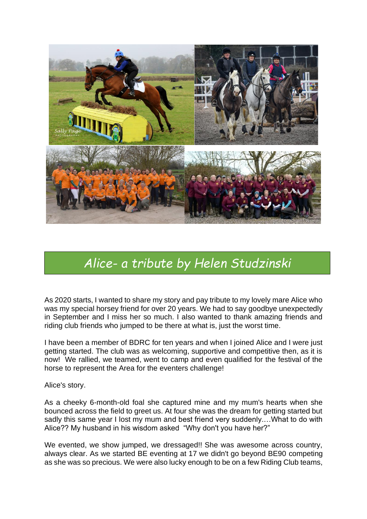

## *Alice- a tribute by Helen Studzinski*

As 2020 starts, I wanted to share my story and pay tribute to my lovely mare Alice who was my special horsey friend for over 20 years. We had to say goodbye unexpectedly in September and I miss her so much. I also wanted to thank amazing friends and riding club friends who jumped to be there at what is, just the worst time.

I have been a member of BDRC for ten years and when I joined Alice and I were just getting started. The club was as welcoming, supportive and competitive then, as it is now! We rallied, we teamed, went to camp and even qualified for the festival of the horse to represent the Area for the eventers challenge!

Alice's story.

As a cheeky 6-month-old foal she captured mine and my mum's hearts when she bounced across the field to greet us. At four she was the dream for getting started but sadly this same year I lost my mum and best friend very suddenly.…What to do with Alice?? My husband in his wisdom asked "Why don't you have her?"

We evented, we show jumped, we dressaged!! She was awesome across country, always clear. As we started BE eventing at 17 we didn't go beyond BE90 competing as she was so precious. We were also lucky enough to be on a few Riding Club teams,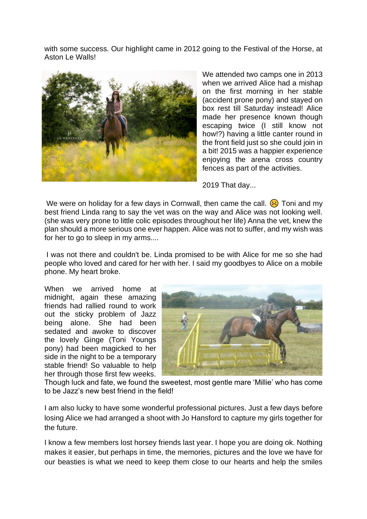with some success. Our highlight came in 2012 going to the Festival of the Horse, at Aston Le Walls!



We attended two camps one in 2013 when we arrived Alice had a mishap on the first morning in her stable (accident prone pony) and stayed on box rest till Saturday instead! Alice made her presence known though escaping twice (I still know not how!?) having a little canter round in the front field just so she could join in a bit! 2015 was a happier experience enjoying the arena cross country fences as part of the activities.

2019 That day...

We were on holiday for a few days in Cornwall, then came the call.  $\langle \cdot \rangle$  Toni and my best friend Linda rang to say the vet was on the way and Alice was not looking well. (she was very prone to little colic episodes throughout her life) Anna the vet, knew the plan should a more serious one ever happen. Alice was not to suffer, and my wish was for her to go to sleep in my arms....

I was not there and couldn't be. Linda promised to be with Alice for me so she had people who loved and cared for her with her. I said my goodbyes to Alice on a mobile phone. My heart broke.

When we arrived home at midnight, again these amazing friends had rallied round to work out the sticky problem of Jazz being alone. She had been sedated and awoke to discover the lovely Ginge (Toni Youngs pony) had been magicked to her side in the night to be a temporary stable friend! So valuable to help her through those first few weeks.



Though luck and fate, we found the sweetest, most gentle mare 'Millie' who has come to be Jazz's new best friend in the field!

I am also lucky to have some wonderful professional pictures. Just a few days before losing Alice we had arranged a shoot with Jo Hansford to capture my girls together for the future.

I know a few members lost horsey friends last year. I hope you are doing ok. Nothing makes it easier, but perhaps in time, the memories, pictures and the love we have for our beasties is what we need to keep them close to our hearts and help the smiles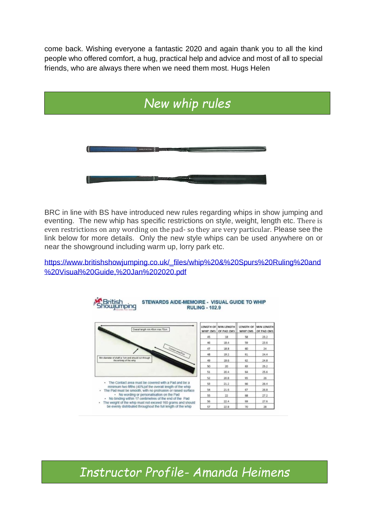come back. Wishing everyone a fantastic 2020 and again thank you to all the kind people who offered comfort, a hug, practical help and advice and most of all to special friends, who are always there when we need them most. Hugs Helen



BRC in line with BS have introduced new rules regarding whips in show jumping and eventing. The new whip has specific restrictions on style, weight, length etc. There is even restrictions on any wording on the pad- so they are very particular. Please see the link below for more details. Only the new style whips can be used anywhere on or near the showground including warm up, lorry park etc.

[https://www.britishshowjumping.co.uk/\\_files/whip%20&%20Spurs%20Ruling%20and](https://www.britishshowjumping.co.uk/_files/whip%20&%20Spurs%20Ruling%20and%20Visual%20Guide,%20Jan%202020.pdf) [%20Visual%20Guide,%20Jan%202020.pdf](https://www.britishshowjumping.co.uk/_files/whip%20&%20Spurs%20Ruling%20and%20Visual%20Guide,%20Jan%202020.pdf)



Showjumping STEWARDS AIDE-MEMOIRE - VISUAL GUIDE TO WHIP

*Instructor Profile- Amanda Heimens*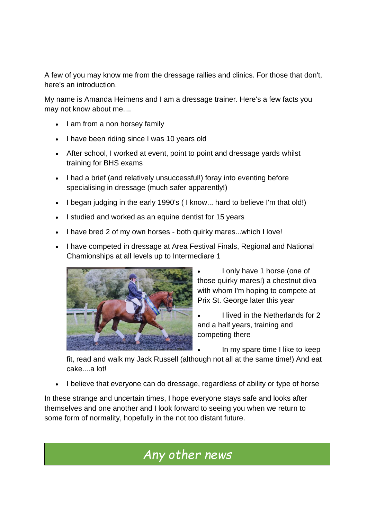A few of you may know me from the dressage rallies and clinics. For those that don't, here's an introduction.

My name is Amanda Heimens and I am a dressage trainer. Here's a few facts you may not know about me....

- I am from a non horsey family
- I have been riding since I was 10 years old
- After school, I worked at event, point to point and dressage yards whilst training for BHS exams
- I had a brief (and relatively unsuccessful!) foray into eventing before specialising in dressage (much safer apparently!)
- I began judging in the early 1990's ( I know... hard to believe I'm that old!)
- I studied and worked as an equine dentist for 15 years
- I have bred 2 of my own horses both quirky mares...which I love!
- I have competed in dressage at Area Festival Finals, Regional and National Chamionships at all levels up to Intermediare 1



- I only have 1 horse (one of those quirky mares!) a chestnut diva with whom I'm hoping to compete at Prix St. George later this year
- I lived in the Netherlands for 2 and a half years, training and competing there
	- In my spare time I like to keep

fit, read and walk my Jack Russell (although not all at the same time!) And eat cake....a lot!

• I believe that everyone can do dressage, regardless of ability or type of horse

In these strange and uncertain times, I hope everyone stays safe and looks after themselves and one another and I look forward to seeing you when we return to some form of normality, hopefully in the not too distant future.

## *Any other news*